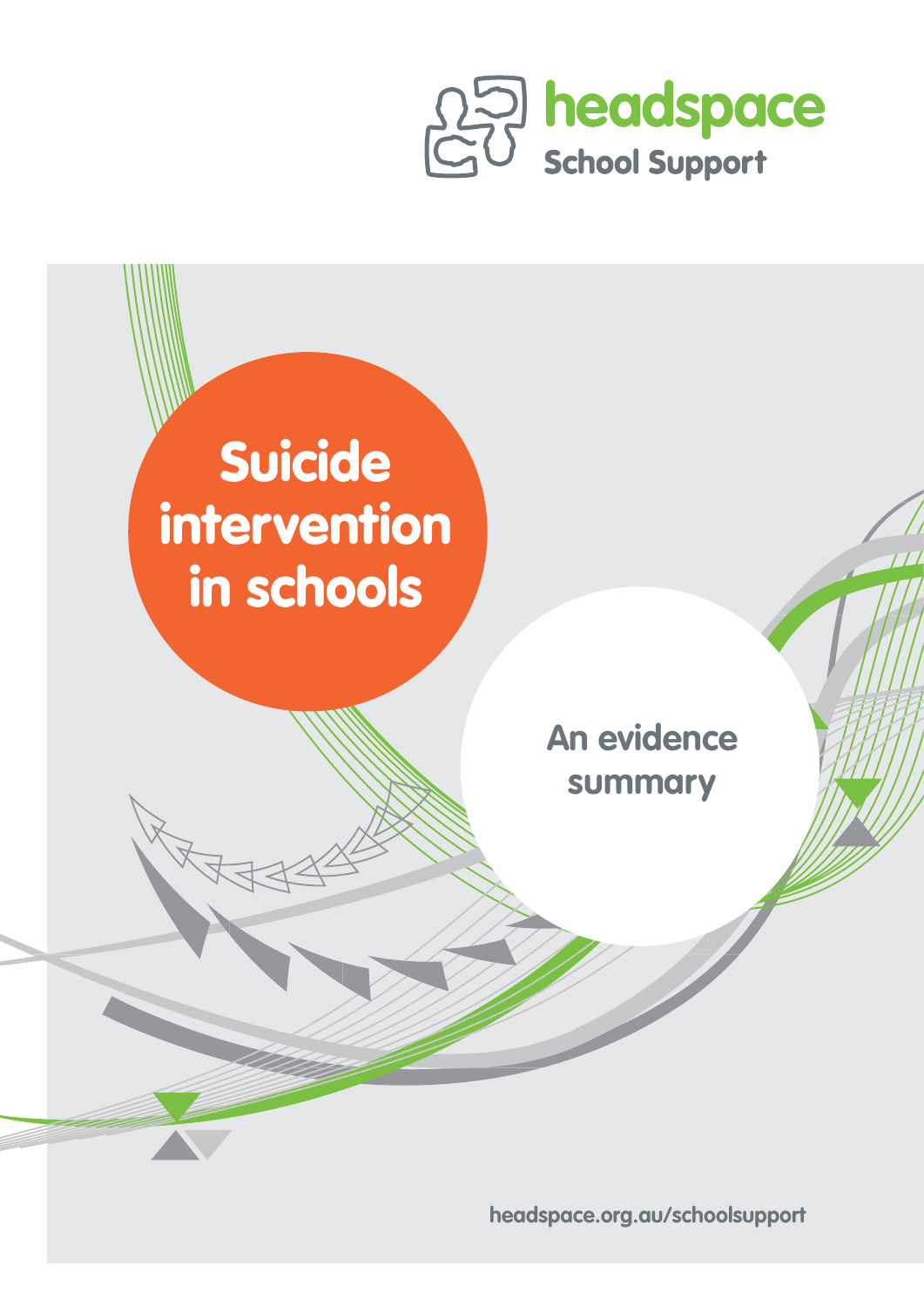



**headspace.org.au/schoolsupport**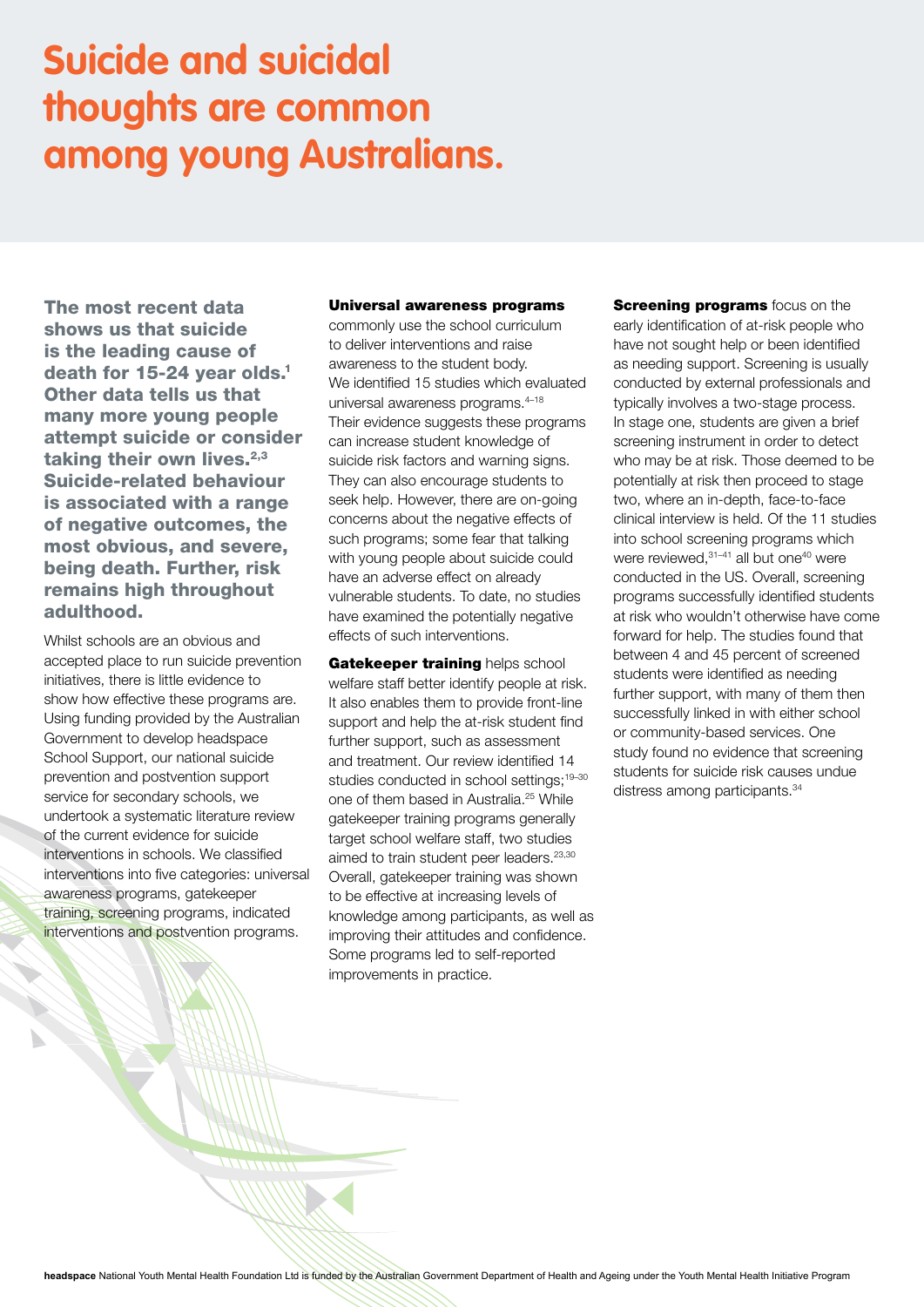# **Suicide and suicidal thoughts are common among young Australians.**

The most recent data shows us that suicide is the leading cause of death for 15-24 year olds.<sup>1</sup> Other data tells us that many more young people attempt suicide or consider taking their own lives. $2,3$ Suicide-related behaviour is associated with a range of negative outcomes, the most obvious, and severe, being death. Further, risk remains high throughout adulthood.

Whilst schools are an obvious and accepted place to run suicide prevention initiatives, there is little evidence to show how effective these programs are. Using funding provided by the Australian Government to develop headspace School Support, our national suicide prevention and postvention support service for secondary schools, we undertook a systematic literature review of the current evidence for suicide interventions in schools. We classified interventions into five categories: universal awareness programs, gatekeeper training, screening programs, indicated interventions and postvention programs.

## Universal awareness programs

commonly use the school curriculum to deliver interventions and raise awareness to the student body. We identified 15 studies which evaluated universal awareness programs.<sup>4-18</sup> Their evidence suggests these programs can increase student knowledge of suicide risk factors and warning signs. They can also encourage students to seek help. However, there are on-going concerns about the negative effects of such programs; some fear that talking with young people about suicide could have an adverse effect on already vulnerable students. To date, no studies have examined the potentially negative effects of such interventions.

Gatekeeper training helps school welfare staff better identify people at risk. It also enables them to provide front-line support and help the at-risk student find further support, such as assessment and treatment. Our review identified 14 studies conducted in school settings:<sup>19-30</sup> one of them based in Australia.25 While gatekeeper training programs generally target school welfare staff, two studies aimed to train student peer leaders.<sup>23,30</sup> Overall, gatekeeper training was shown to be effective at increasing levels of knowledge among participants, as well as improving their attitudes and confidence. Some programs led to self-reported improvements in practice.

**Screening programs** focus on the early identification of at-risk people who have not sought help or been identified as needing support. Screening is usually conducted by external professionals and typically involves a two-stage process. In stage one, students are given a brief screening instrument in order to detect who may be at risk. Those deemed to be potentially at risk then proceed to stage two, where an in-depth, face-to-face clinical interview is held. Of the 11 studies into school screening programs which were reviewed.<sup>31-41</sup> all but one<sup>40</sup> were conducted in the US. Overall, screening programs successfully identified students at risk who wouldn't otherwise have come forward for help. The studies found that between 4 and 45 percent of screened students were identified as needing further support, with many of them then successfully linked in with either school or community-based services. One study found no evidence that screening students for suicide risk causes undue distress among participants.<sup>34</sup>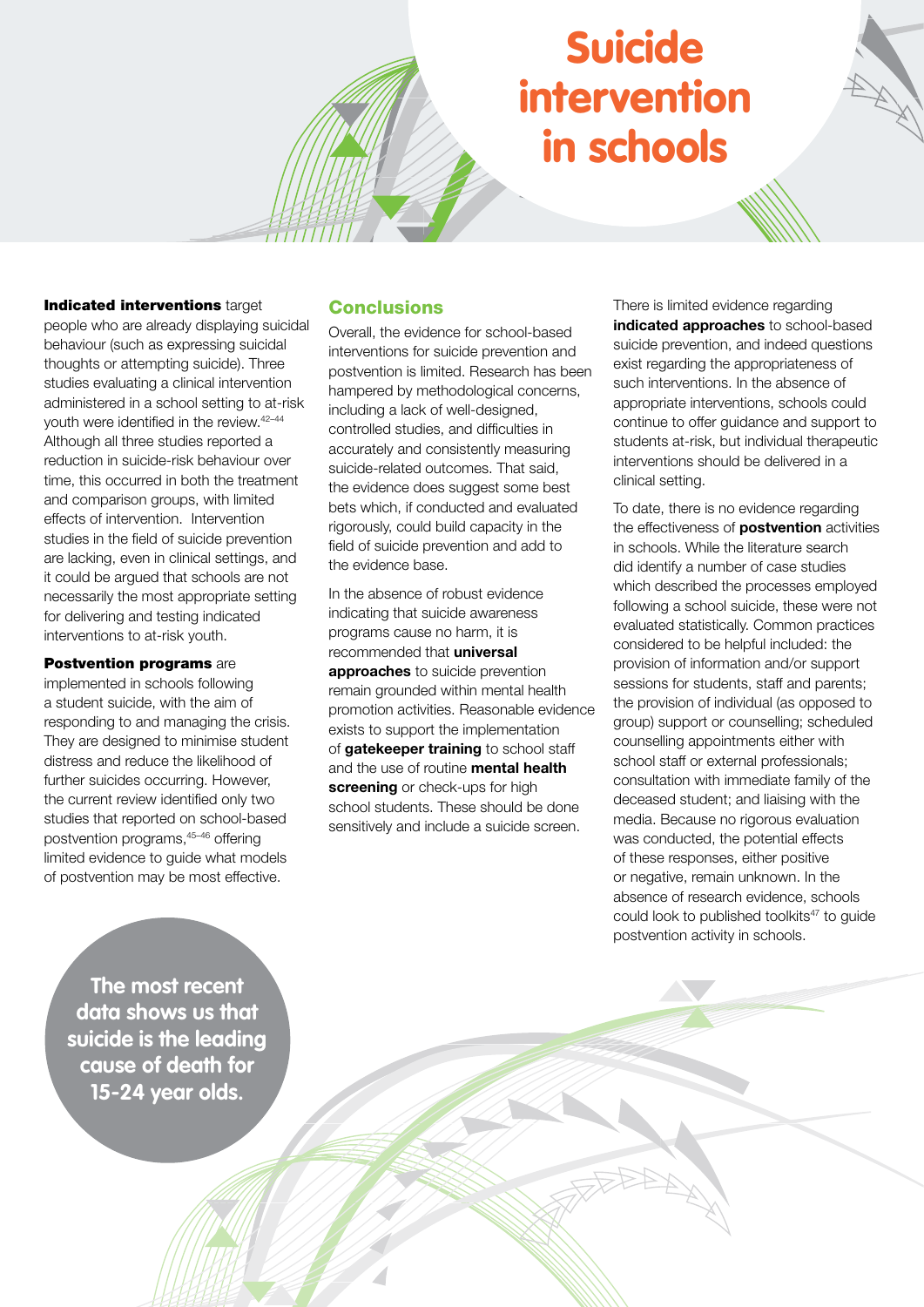# Suicide intervention in schools

## Indicated interventions target

people who are already displaying suicidal behaviour (such as expressing suicidal thoughts or attempting suicide). Three studies evaluating a clinical intervention administered in a school setting to at-risk youth were identified in the review.42–44 Although all three studies reported a reduction in suicide-risk behaviour over time, this occurred in both the treatment and comparison groups, with limited effects of intervention. Intervention studies in the field of suicide prevention are lacking, even in clinical settings, and it could be argued that schools are not necessarily the most appropriate setting for delivering and testing indicated interventions to at-risk youth.

## **Postvention programs are**

implemented in schools following a student suicide, with the aim of responding to and managing the crisis. They are designed to minimise student distress and reduce the likelihood of further suicides occurring. However, the current review identified only two studies that reported on school-based postvention programs,45–46 offering limited evidence to guide what models of postvention may be most effective.

# **Conclusions**

Overall, the evidence for school-based interventions for suicide prevention and postvention is limited. Research has been hampered by methodological concerns, including a lack of well-designed, controlled studies, and difficulties in accurately and consistently measuring suicide-related outcomes. That said, the evidence does suggest some best bets which, if conducted and evaluated rigorously, could build capacity in the field of suicide prevention and add to the evidence base.

In the absence of robust evidence indicating that suicide awareness programs cause no harm, it is recommended that **universal approaches** to suicide prevention remain grounded within mental health promotion activities. Reasonable evidence exists to support the implementation of **gatekeeper training** to school staff and the use of routine **mental health screening** or check-ups for high school students. These should be done sensitively and include a suicide screen.

There is limited evidence regarding **indicated approaches** to school-based suicide prevention, and indeed questions exist regarding the appropriateness of such interventions. In the absence of appropriate interventions, schools could continue to offer guidance and support to students at-risk, but individual therapeutic interventions should be delivered in a clinical setting.

To date, there is no evidence regarding the effectiveness of **postvention** activities in schools. While the literature search did identify a number of case studies which described the processes employed following a school suicide, these were not evaluated statistically. Common practices considered to be helpful included: the provision of information and/or support sessions for students, staff and parents; the provision of individual (as opposed to group) support or counselling; scheduled counselling appointments either with school staff or external professionals; consultation with immediate family of the deceased student; and liaising with the media. Because no rigorous evaluation was conducted, the potential effects of these responses, either positive or negative, remain unknown. In the absence of research evidence, schools could look to published toolkits<sup>47</sup> to guide postvention activity in schools.

**The most recent data shows us that suicide is the leading cause of death for 15-24 year olds.**